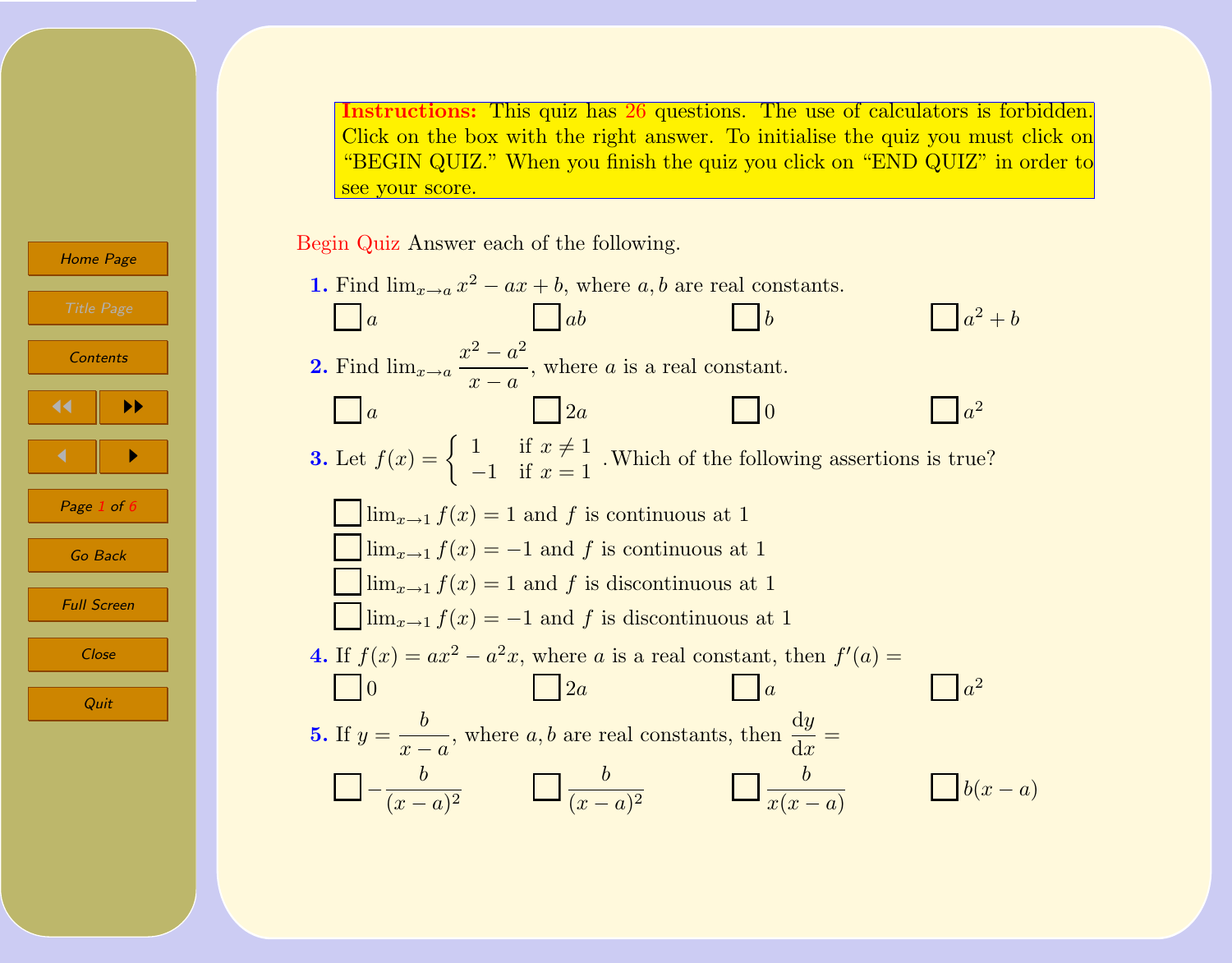Instructions: This quiz has [26](#page-5-0) questions. The use of calculators is forbidden. Click on the box with the right answer. To initialise the quiz you must click on "BEGIN QUIZ." When you finish the quiz you click on "END QUIZ" in order to see your score.

Begin Quiz Answer each of the following.



<span id="page-0-0"></span>[Home Page](http://www.math.upenn.edu/~santosan/) **Contents** JJ II  $\blacksquare$ Page 1 of  $\ell$ Go Back Full Screen Close Quit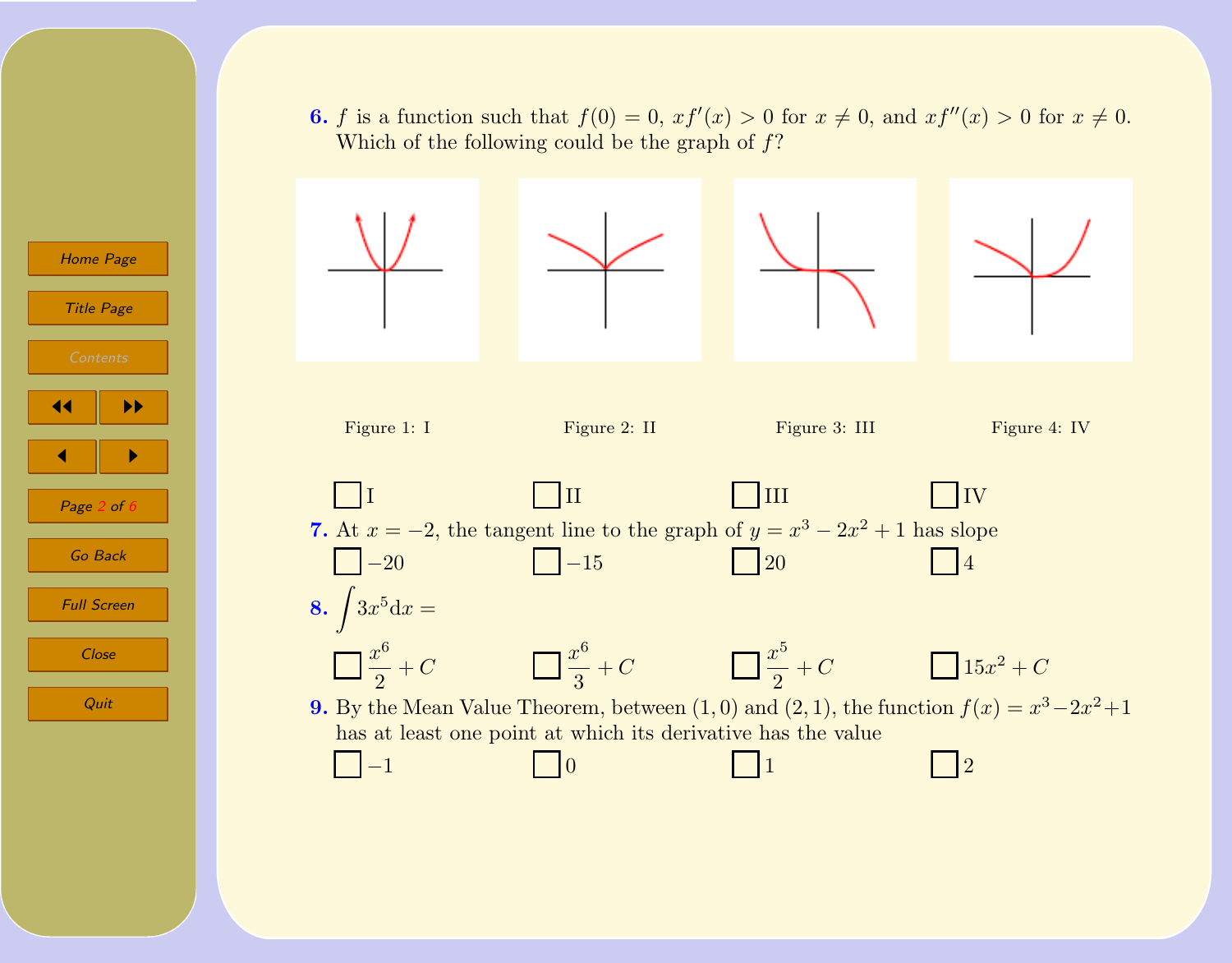





[Home Page](http://www.math.upenn.edu/~santosan/)

Title Page

 $\blacksquare$ 

Page  $2$  of  $6$ 

Go Back

Full Screen

Close

Quit

JJ II





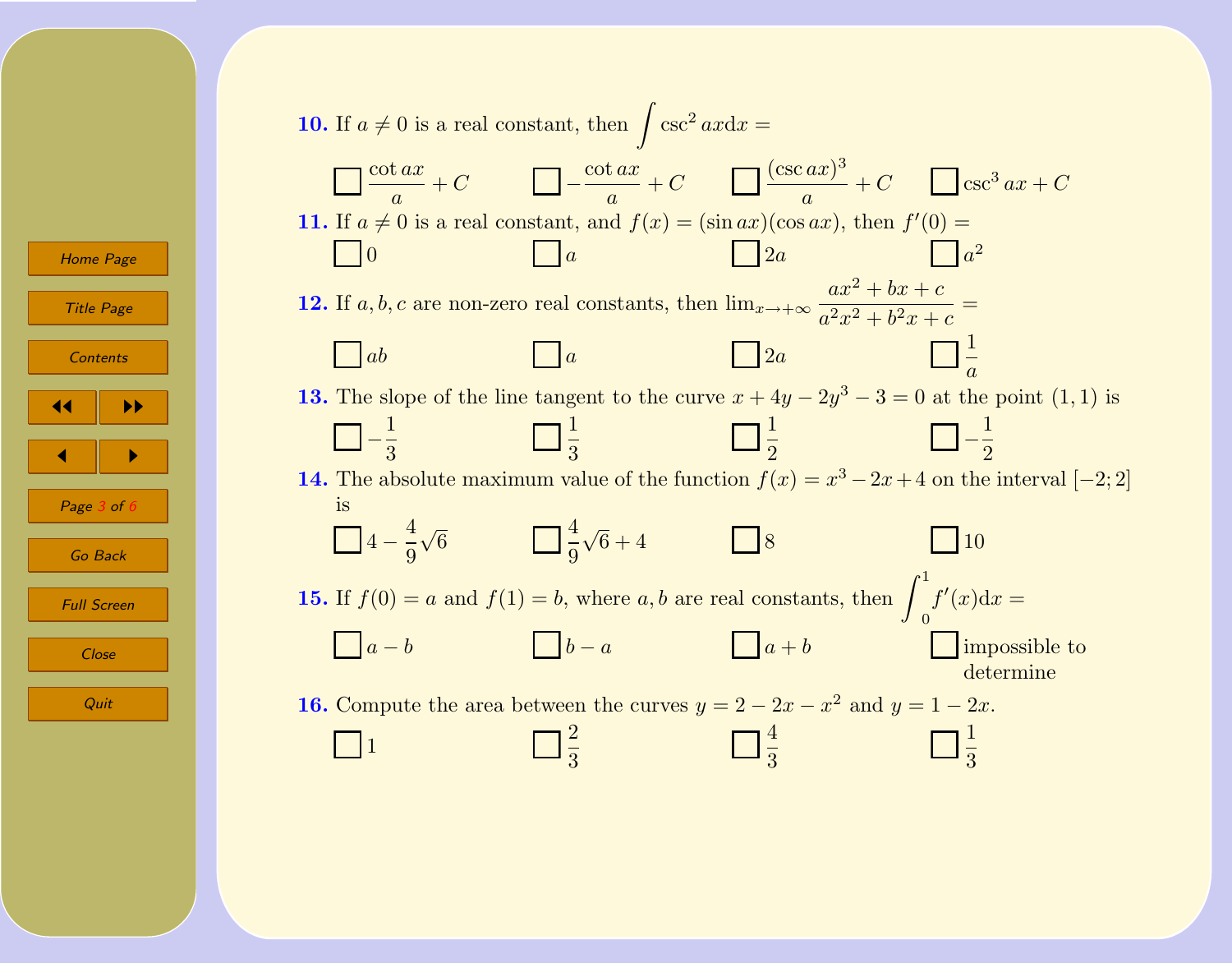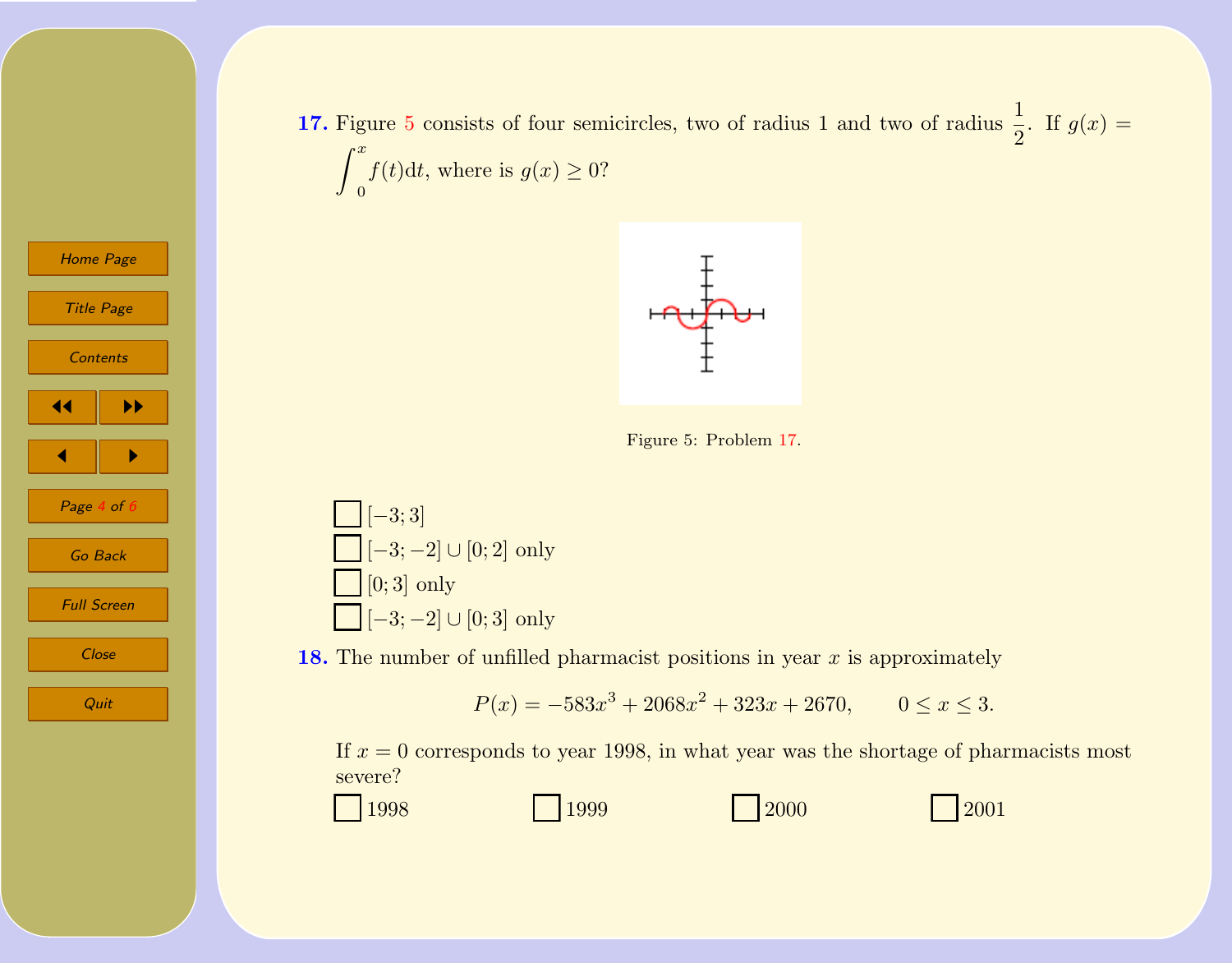



Figure 5: Problem 17.



[Home Page](http://www.math.upenn.edu/~santosan/)

Title Page

**[Contents](#page-0-0)** 

 $\blacksquare$ 

Page  $4$  of  $6$ 

Go Back

Full Screen

**Close** 

Quit

JJ II

18. The number of unfilled pharmacist positions in year  $x$  is approximately

$$
P(x) = -583x^3 + 2068x^2 + 323x + 2670, \qquad 0 \le x \le 3.
$$

If  $x = 0$  corresponds to year 1998, in what year was the shortage of pharmacists most severe?

1998 1999 2000 2001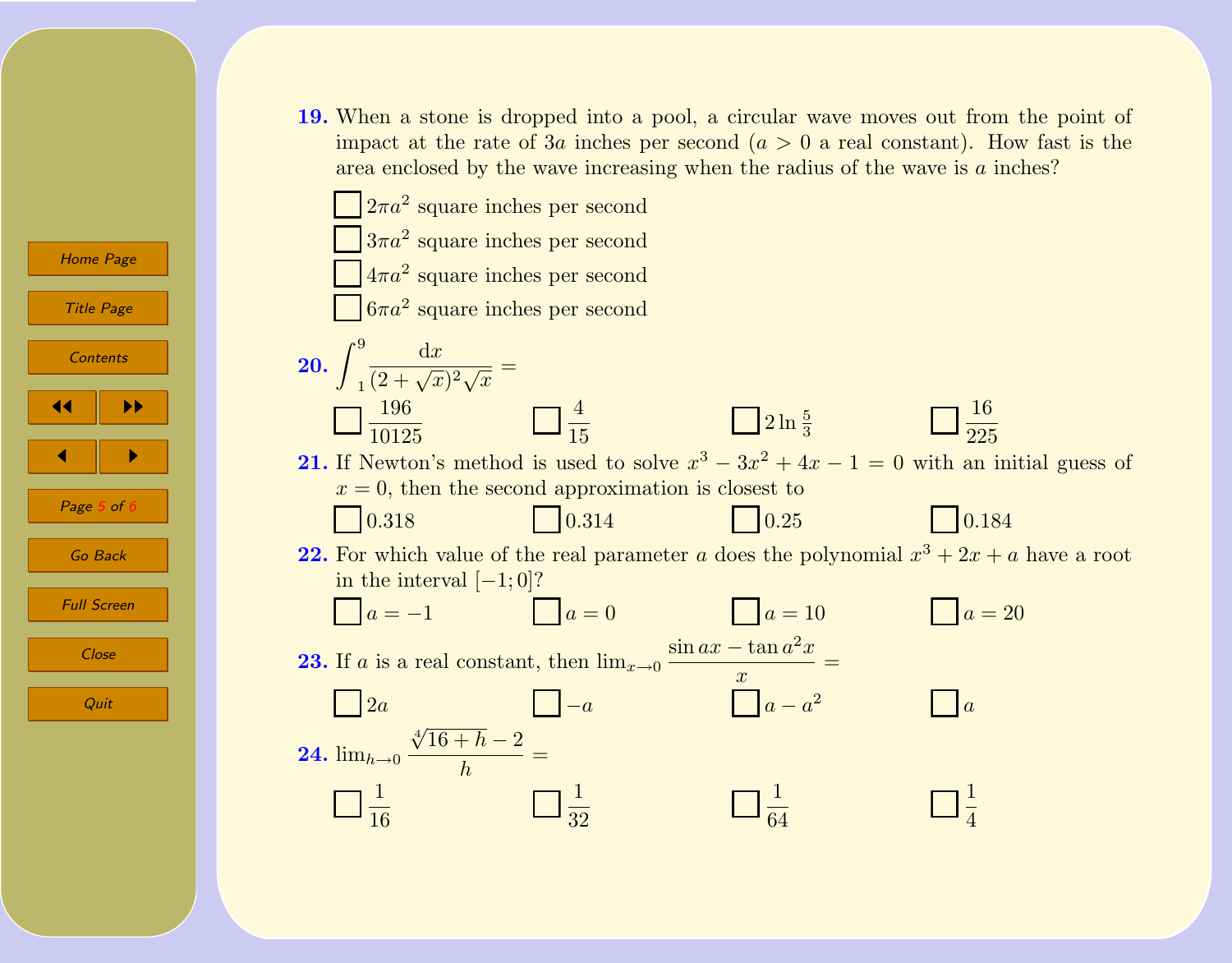19. When a stone is dropped into a pool, a circular wave moves out from the point of impact at the rate of 3a inches per second  $(a > 0$  a real constant). How fast is the area enclosed by the wave increasing when the radius of the wave is a inches?



 $\blacksquare$ Page  $5$  of  $6$ 

Quit

Go Back

Full Screen

Close

[Home Page](http://www.math.upenn.edu/~santosan/)

Title Page

**[Contents](#page-0-0)** 

JJ II